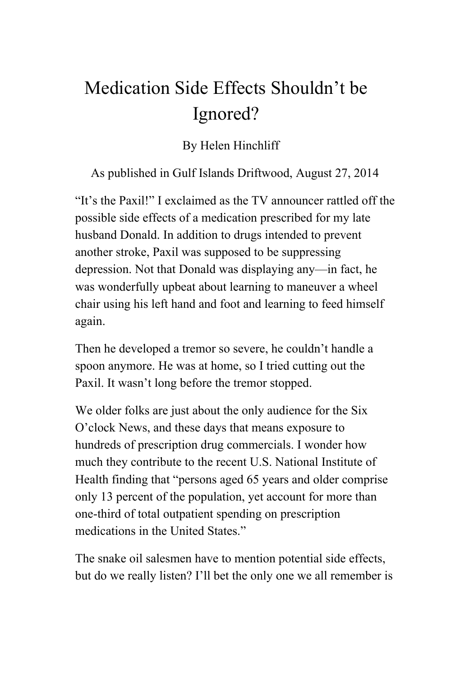## Medication Side Effects Shouldn't be Ignored?

## By Helen Hinchliff

As published in Gulf Islands Driftwood, August 27, 2014

"It's the Paxil!" I exclaimed as the TV announcer rattled off the possible side effects of a medication prescribed for my late husband Donald. In addition to drugs intended to prevent another stroke, Paxil was supposed to be suppressing depression. Not that Donald was displaying any—in fact, he was wonderfully upbeat about learning to maneuver a wheel chair using his left hand and foot and learning to feed himself again.

Then he developed a tremor so severe, he couldn't handle a spoon anymore. He was at home, so I tried cutting out the Paxil. It wasn't long before the tremor stopped.

We older folks are just about the only audience for the Six O'clock News, and these days that means exposure to hundreds of prescription drug commercials. I wonder how much they contribute to the recent U.S. National Institute of Health finding that "persons aged 65 years and older comprise only 13 percent of the population, yet account for more than one-third of total outpatient spending on prescription medications in the United States."

The snake oil salesmen have to mention potential side effects, but do we really listen? I'll bet the only one we all remember is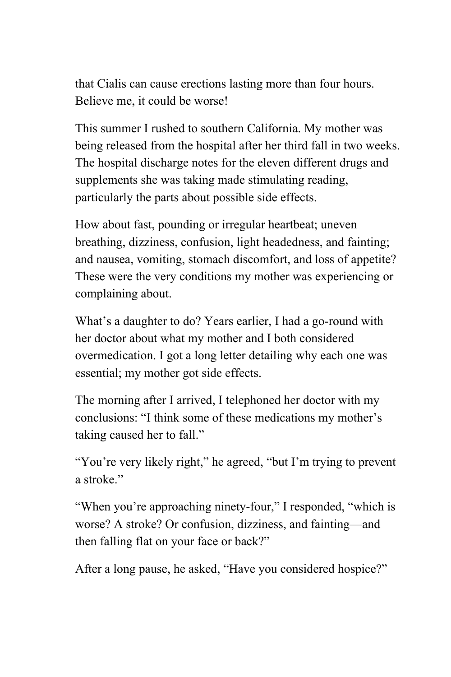that Cialis can cause erections lasting more than four hours. Believe me, it could be worse!

This summer I rushed to southern California. My mother was being released from the hospital after her third fall in two weeks. The hospital discharge notes for the eleven different drugs and supplements she was taking made stimulating reading, particularly the parts about possible side effects.

How about fast, pounding or irregular heartbeat; uneven breathing, dizziness, confusion, light headedness, and fainting; and nausea, vomiting, stomach discomfort, and loss of appetite? These were the very conditions my mother was experiencing or complaining about.

What's a daughter to do? Years earlier, I had a go-round with her doctor about what my mother and I both considered overmedication. I got a long letter detailing why each one was essential; my mother got side effects.

The morning after I arrived, I telephoned her doctor with my conclusions: "I think some of these medications my mother's taking caused her to fall."

"You're very likely right," he agreed, "but I'm trying to prevent a stroke"

"When you're approaching ninety-four," I responded, "which is worse? A stroke? Or confusion, dizziness, and fainting—and then falling flat on your face or back?"

After a long pause, he asked, "Have you considered hospice?"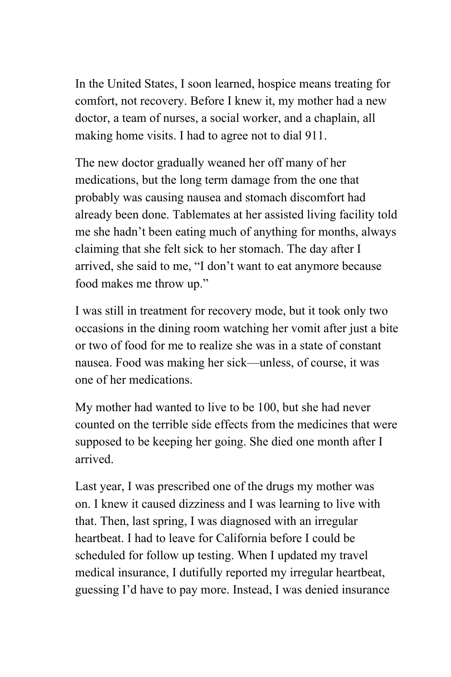In the United States, I soon learned, hospice means treating for comfort, not recovery. Before I knew it, my mother had a new doctor, a team of nurses, a social worker, and a chaplain, all making home visits. I had to agree not to dial 911.

The new doctor gradually weaned her off many of her medications, but the long term damage from the one that probably was causing nausea and stomach discomfort had already been done. Tablemates at her assisted living facility told me she hadn't been eating much of anything for months, always claiming that she felt sick to her stomach. The day after I arrived, she said to me, "I don't want to eat anymore because food makes me throw up."

I was still in treatment for recovery mode, but it took only two occasions in the dining room watching her vomit after just a bite or two of food for me to realize she was in a state of constant nausea. Food was making her sick—unless, of course, it was one of her medications.

My mother had wanted to live to be 100, but she had never counted on the terrible side effects from the medicines that were supposed to be keeping her going. She died one month after I arrived.

Last year, I was prescribed one of the drugs my mother was on. I knew it caused dizziness and I was learning to live with that. Then, last spring, I was diagnosed with an irregular heartbeat. I had to leave for California before I could be scheduled for follow up testing. When I updated my travel medical insurance, I dutifully reported my irregular heartbeat, guessing I'd have to pay more. Instead, I was denied insurance